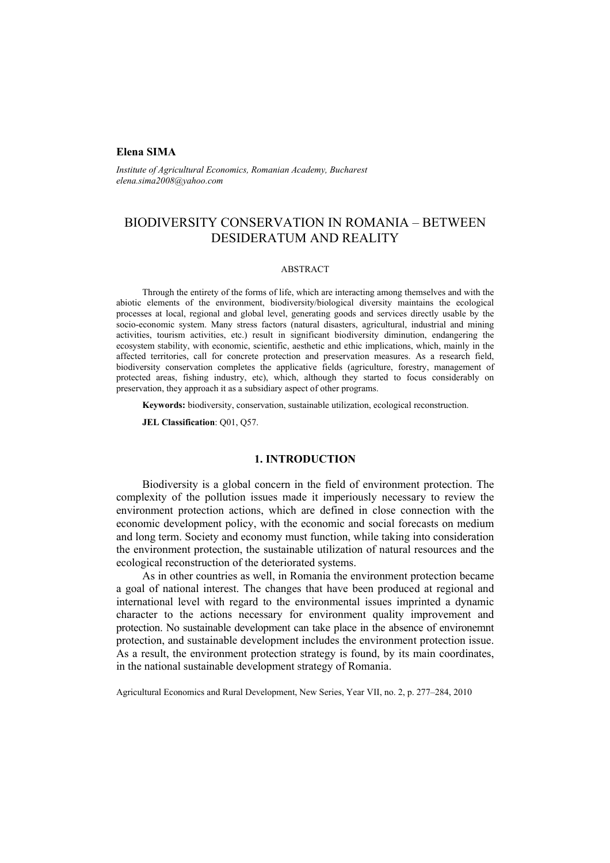### **Elena SIMA**

*Institute of Agricultural Economics, Romanian Academy, Bucharest elena.sima2008@yahoo.com* 

# BIODIVERSITY CONSERVATION IN ROMANIA – BETWEEN DESIDERATUM AND REALITY

### ABSTRACT

Through the entirety of the forms of life, which are interacting among themselves and with the abiotic elements of the environment, biodiversity/biological diversity maintains the ecological processes at local, regional and global level, generating goods and services directly usable by the socio-economic system. Many stress factors (natural disasters, agricultural, industrial and mining activities, tourism activities, etc.) result in significant biodiversity diminution, endangering the ecosystem stability, with economic, scientific, aesthetic and ethic implications, which, mainly in the affected territories, call for concrete protection and preservation measures. As a research field, biodiversity conservation completes the applicative fields (agriculture, forestry, management of protected areas, fishing industry, etc), which, although they started to focus considerably on preservation, they approach it as a subsidiary aspect of other programs.

**Keywords:** biodiversity, conservation, sustainable utilization, ecological reconstruction.

**JEL Classification**: Q01, Q57.

## **1. INTRODUCTION**

Biodiversity is a global concern in the field of environment protection. The complexity of the pollution issues made it imperiously necessary to review the environment protection actions, which are defined in close connection with the economic development policy, with the economic and social forecasts on medium and long term. Society and economy must function, while taking into consideration the environment protection, the sustainable utilization of natural resources and the ecological reconstruction of the deteriorated systems.

As in other countries as well, in Romania the environment protection became a goal of national interest. The changes that have been produced at regional and international level with regard to the environmental issues imprinted a dynamic character to the actions necessary for environment quality improvement and protection. No sustainable development can take place in the absence of environemnt protection, and sustainable development includes the environment protection issue. As a result, the environment protection strategy is found, by its main coordinates, in the national sustainable development strategy of Romania.

Agricultural Economics and Rural Development, New Series, Year VII, no. 2, p. 277–284, 2010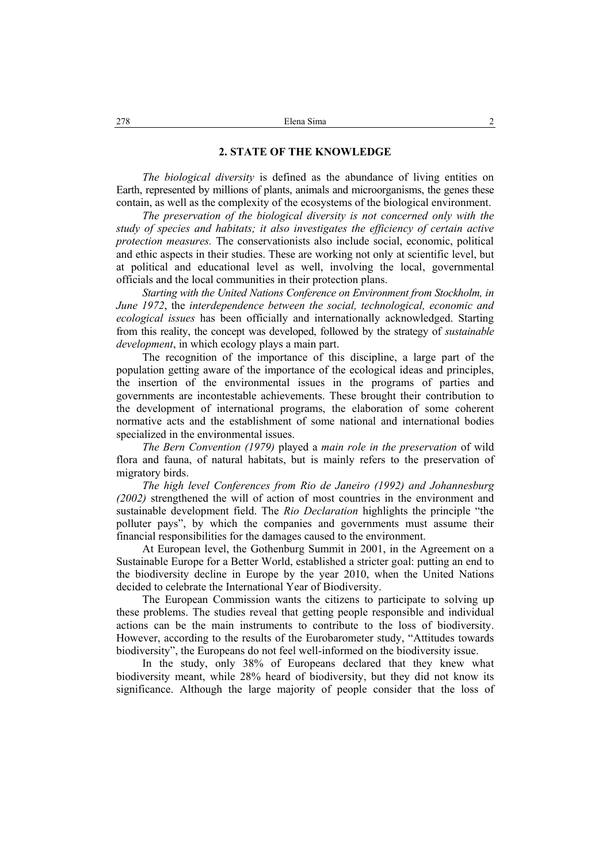#### **2. STATE OF THE KNOWLEDGE**

*The biological diversity* is defined as the abundance of living entities on Earth, represented by millions of plants, animals and microorganisms, the genes these contain, as well as the complexity of the ecosystems of the biological environment.

*The preservation of the biological diversity is not concerned only with the study of species and habitats; it also investigates the efficiency of certain active protection measures.* The conservationists also include social, economic, political and ethic aspects in their studies. These are working not only at scientific level, but at political and educational level as well, involving the local, governmental officials and the local communities in their protection plans.

*Starting with the United Nations Conference on Environment from Stockholm, in June 1972*, the *interdependence between the social, technological, economic and ecological issues* has been officially and internationally acknowledged. Starting from this reality, the concept was developed, followed by the strategy of *sustainable development*, in which ecology plays a main part.

The recognition of the importance of this discipline, a large part of the population getting aware of the importance of the ecological ideas and principles, the insertion of the environmental issues in the programs of parties and governments are incontestable achievements. These brought their contribution to the development of international programs, the elaboration of some coherent normative acts and the establishment of some national and international bodies specialized in the environmental issues.

*The Bern Convention (1979)* played a *main role in the preservation* of wild flora and fauna, of natural habitats, but is mainly refers to the preservation of migratory birds.

*The high level Conferences from Rio de Janeiro (1992) and Johannesburg (2002)* strengthened the will of action of most countries in the environment and sustainable development field. The *Rio Declaration* highlights the principle "the polluter pays", by which the companies and governments must assume their financial responsibilities for the damages caused to the environment.

At European level, the Gothenburg Summit in 2001, in the Agreement on a Sustainable Europe for a Better World, established a stricter goal: putting an end to the biodiversity decline in Europe by the year 2010, when the United Nations decided to celebrate the International Year of Biodiversity.

The European Commission wants the citizens to participate to solving up these problems. The studies reveal that getting people responsible and individual actions can be the main instruments to contribute to the loss of biodiversity. However, according to the results of the Eurobarometer study, "Attitudes towards biodiversity", the Europeans do not feel well-informed on the biodiversity issue.

In the study, only 38% of Europeans declared that they knew what biodiversity meant, while 28% heard of biodiversity, but they did not know its significance. Although the large majority of people consider that the loss of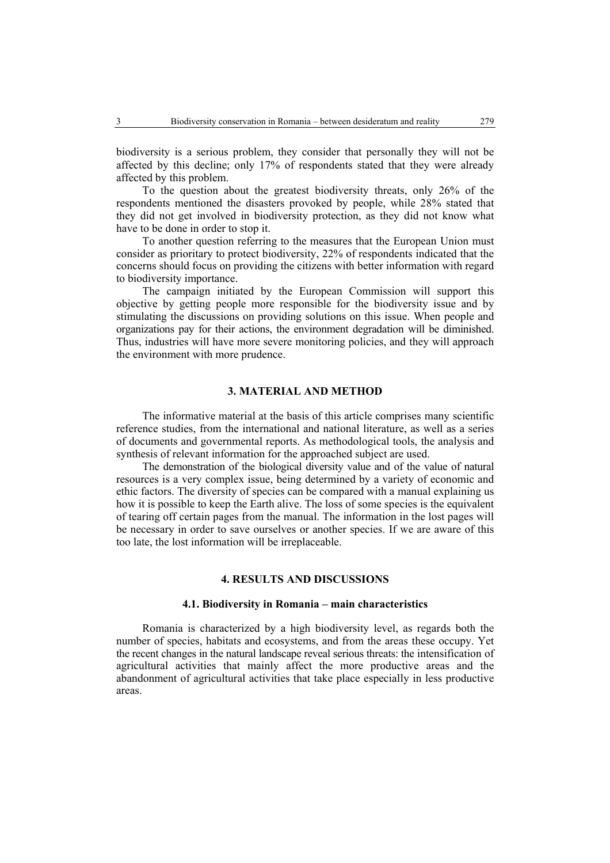biodiversity is a serious problem, they consider that personally they will not be affected by this decline; only 17% of respondents stated that they were already affected by this problem.

To the question about the greatest biodiversity threats, only 26% of the respondents mentioned the disasters provoked by people, while 28% stated that they did not get involved in biodiversity protection, as they did not know what have to be done in order to stop it.

To another question referring to the measures that the European Union must consider as prioritary to protect biodiversity, 22% of respondents indicated that the concerns should focus on providing the citizens with better information with regard to biodiversity importance.

The campaign initiated by the European Commission will support this objective by getting people more responsible for the biodiversity issue and by stimulating the discussions on providing solutions on this issue. When people and organizations pay for their actions, the environment degradation will be diminished. Thus, industries will have more severe monitoring policies, and they will approach the environment with more prudence.

### **3. MATERIAL AND METHOD**

The informative material at the basis of this article comprises many scientific reference studies, from the international and national literature, as well as a series of documents and governmental reports. As methodological tools, the analysis and synthesis of relevant information for the approached subject are used.

The demonstration of the biological diversity value and of the value of natural resources is a very complex issue, being determined by a variety of economic and ethic factors. The diversity of species can be compared with a manual explaining us how it is possible to keep the Earth alive. The loss of some species is the equivalent of tearing off certain pages from the manual. The information in the lost pages will be necessary in order to save ourselves or another species. If we are aware of this too late, the lost information will be irreplaceable.

### **4. RESULTS AND DISCUSSIONS**

#### **4.1. Biodiversity in Romania – main characteristics**

Romania is characterized by a high biodiversity level, as regards both the number of species, habitats and ecosystems, and from the areas these occupy. Yet the recent changes in the natural landscape reveal serious threats: the intensification of agricultural activities that mainly affect the more productive areas and the abandonment of agricultural activities that take place especially in less productive areas.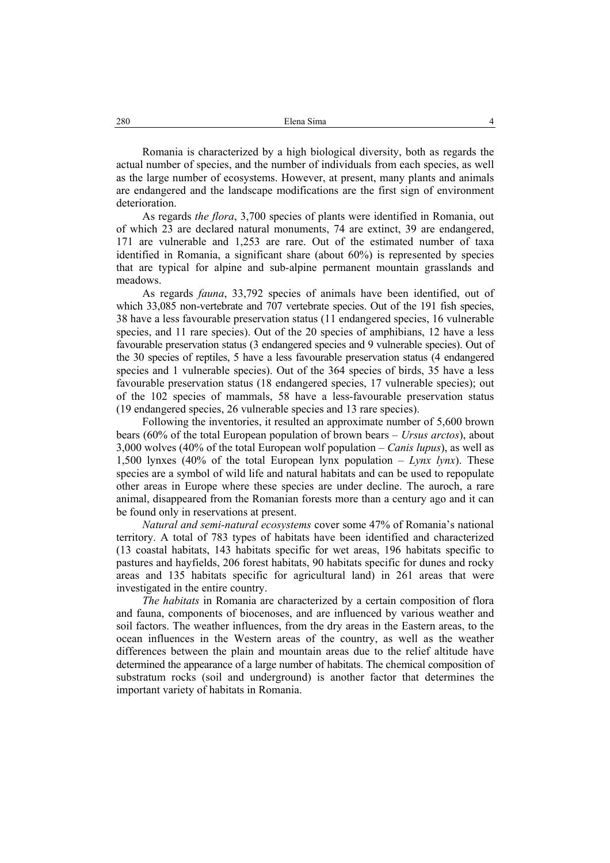Romania is characterized by a high biological diversity, both as regards the actual number of species, and the number of individuals from each species, as well as the large number of ecosystems. However, at present, many plants and animals are endangered and the landscape modifications are the first sign of environment deterioration.

As regards *the flora*, 3,700 species of plants were identified in Romania, out of which 23 are declared natural monuments, 74 are extinct, 39 are endangered, 171 are vulnerable and 1,253 are rare. Out of the estimated number of taxa identified in Romania, a significant share (about 60%) is represented by species that are typical for alpine and sub-alpine permanent mountain grasslands and meadows.

As regards *fauna*, 33,792 species of animals have been identified, out of which 33,085 non-vertebrate and 707 vertebrate species. Out of the 191 fish species, 38 have a less favourable preservation status (11 endangered species, 16 vulnerable species, and 11 rare species). Out of the 20 species of amphibians, 12 have a less favourable preservation status (3 endangered species and 9 vulnerable species). Out of the 30 species of reptiles, 5 have a less favourable preservation status (4 endangered species and 1 vulnerable species). Out of the 364 species of birds, 35 have a less favourable preservation status (18 endangered species, 17 vulnerable species); out of the 102 species of mammals, 58 have a less-favourable preservation status (19 endangered species, 26 vulnerable species and 13 rare species).

Following the inventories, it resulted an approximate number of 5,600 brown bears (60% of the total European population of brown bears – *Ursus arctos*), about 3,000 wolves (40% of the total European wolf population – *Canis lupus*), as well as 1,500 lynxes (40% of the total European lynx population – *Lynx lynx*). These species are a symbol of wild life and natural habitats and can be used to repopulate other areas in Europe where these species are under decline. The auroch, a rare animal, disappeared from the Romanian forests more than a century ago and it can be found only in reservations at present.

*Natural and semi-natural ecosystems* cover some 47% of Romania's national territory. A total of 783 types of habitats have been identified and characterized (13 coastal habitats, 143 habitats specific for wet areas, 196 habitats specific to pastures and hayfields, 206 forest habitats, 90 habitats specific for dunes and rocky areas and 135 habitats specific for agricultural land) in 261 areas that were investigated in the entire country.

*The habitats* in Romania are characterized by a certain composition of flora and fauna, components of biocenoses, and are influenced by various weather and soil factors. The weather influences, from the dry areas in the Eastern areas, to the ocean influences in the Western areas of the country, as well as the weather differences between the plain and mountain areas due to the relief altitude have determined the appearance of a large number of habitats. The chemical composition of substratum rocks (soil and underground) is another factor that determines the important variety of habitats in Romania.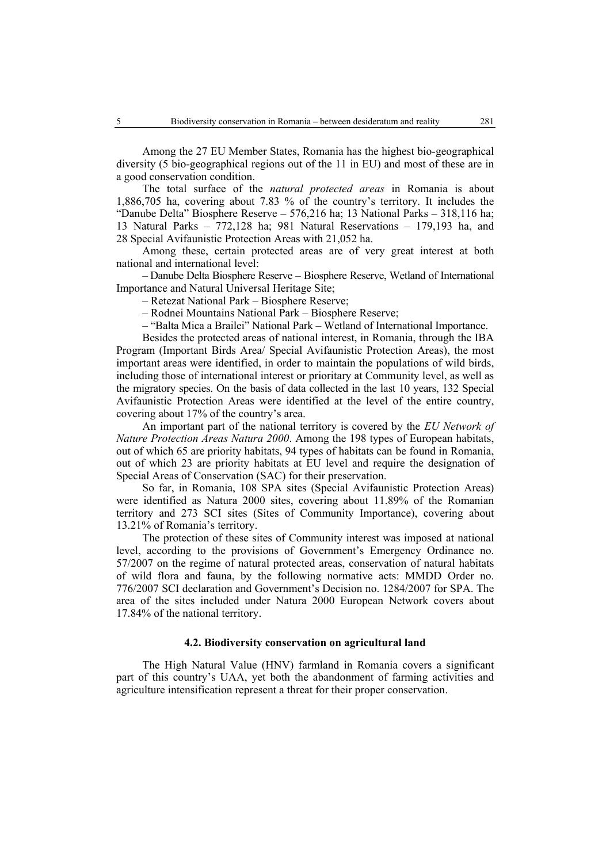Among the 27 EU Member States, Romania has the highest bio-geographical diversity (5 bio-geographical regions out of the 11 in EU) and most of these are in a good conservation condition.

The total surface of the *natural protected areas* in Romania is about 1,886,705 ha, covering about 7.83 % of the country's territory. It includes the "Danube Delta" Biosphere Reserve – 576,216 ha; 13 National Parks – 318,116 ha; 13 Natural Parks – 772,128 ha; 981 Natural Reservations – 179,193 ha, and 28 Special Avifaunistic Protection Areas with 21,052 ha.

Among these, certain protected areas are of very great interest at both national and international level:

– Danube Delta Biosphere Reserve – Biosphere Reserve, Wetland of International Importance and Natural Universal Heritage Site;

– Retezat National Park – Biosphere Reserve;

– Rodnei Mountains National Park – Biosphere Reserve;

– "Balta Mica a Brailei" National Park – Wetland of International Importance.

Besides the protected areas of national interest, in Romania, through the IBA Program (Important Birds Area/ Special Avifaunistic Protection Areas), the most important areas were identified, in order to maintain the populations of wild birds, including those of international interest or prioritary at Community level, as well as the migratory species. On the basis of data collected in the last 10 years, 132 Special Avifaunistic Protection Areas were identified at the level of the entire country, covering about 17% of the country's area.

An important part of the national territory is covered by the *EU Network of Nature Protection Areas Natura 2000*. Among the 198 types of European habitats, out of which 65 are priority habitats, 94 types of habitats can be found in Romania, out of which 23 are priority habitats at EU level and require the designation of Special Areas of Conservation (SAC) for their preservation.

So far, in Romania, 108 SPA sites (Special Avifaunistic Protection Areas) were identified as Natura 2000 sites, covering about 11.89% of the Romanian territory and 273 SCI sites (Sites of Community Importance), covering about 13.21% of Romania's territory.

The protection of these sites of Community interest was imposed at national level, according to the provisions of Government's Emergency Ordinance no. 57/2007 on the regime of natural protected areas, conservation of natural habitats of wild flora and fauna, by the following normative acts: MMDD Order no. 776/2007 SCI declaration and Government's Decision no. 1284/2007 for SPA. The area of the sites included under Natura 2000 European Network covers about 17.84% of the national territory.

### **4.2. Biodiversity conservation on agricultural land**

The High Natural Value (HNV) farmland in Romania covers a significant part of this country's UAA, yet both the abandonment of farming activities and agriculture intensification represent a threat for their proper conservation.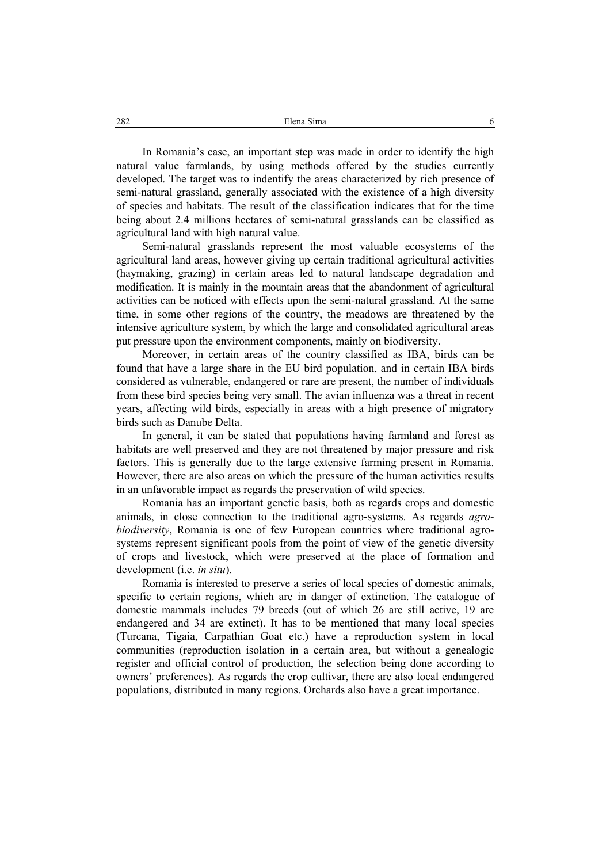In Romania's case, an important step was made in order to identify the high natural value farmlands, by using methods offered by the studies currently developed. The target was to indentify the areas characterized by rich presence of semi-natural grassland, generally associated with the existence of a high diversity of species and habitats. The result of the classification indicates that for the time being about 2.4 millions hectares of semi-natural grasslands can be classified as agricultural land with high natural value.

Semi-natural grasslands represent the most valuable ecosystems of the agricultural land areas, however giving up certain traditional agricultural activities (haymaking, grazing) in certain areas led to natural landscape degradation and modification. It is mainly in the mountain areas that the abandonment of agricultural activities can be noticed with effects upon the semi-natural grassland. At the same time, in some other regions of the country, the meadows are threatened by the intensive agriculture system, by which the large and consolidated agricultural areas put pressure upon the environment components, mainly on biodiversity.

Moreover, in certain areas of the country classified as IBA, birds can be found that have a large share in the EU bird population, and in certain IBA birds considered as vulnerable, endangered or rare are present, the number of individuals from these bird species being very small. The avian influenza was a threat in recent years, affecting wild birds, especially in areas with a high presence of migratory birds such as Danube Delta.

In general, it can be stated that populations having farmland and forest as habitats are well preserved and they are not threatened by major pressure and risk factors. This is generally due to the large extensive farming present in Romania. However, there are also areas on which the pressure of the human activities results in an unfavorable impact as regards the preservation of wild species.

Romania has an important genetic basis, both as regards crops and domestic animals, in close connection to the traditional agro-systems. As regards *agrobiodiversity*, Romania is one of few European countries where traditional agrosystems represent significant pools from the point of view of the genetic diversity of crops and livestock, which were preserved at the place of formation and development (i.e. *in situ*).

Romania is interested to preserve a series of local species of domestic animals, specific to certain regions, which are in danger of extinction. The catalogue of domestic mammals includes 79 breeds (out of which 26 are still active, 19 are endangered and 34 are extinct). It has to be mentioned that many local species (Turcana, Tigaia, Carpathian Goat etc.) have a reproduction system in local communities (reproduction isolation in a certain area, but without a genealogic register and official control of production, the selection being done according to owners' preferences). As regards the crop cultivar, there are also local endangered populations, distributed in many regions. Orchards also have a great importance.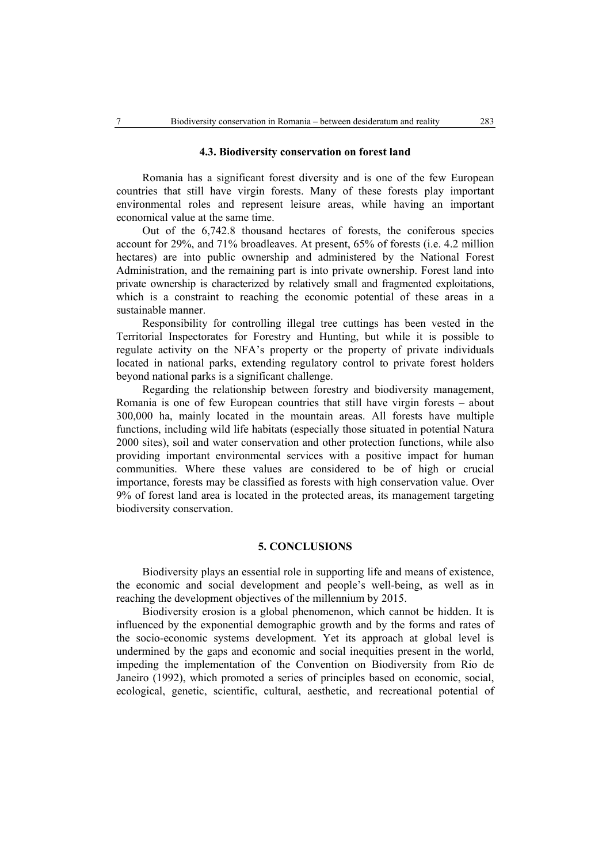#### **4.3. Biodiversity conservation on forest land**

Romania has a significant forest diversity and is one of the few European countries that still have virgin forests. Many of these forests play important environmental roles and represent leisure areas, while having an important economical value at the same time.

Out of the 6,742.8 thousand hectares of forests, the coniferous species account for 29%, and 71% broadleaves. At present, 65% of forests (i.e. 4.2 million hectares) are into public ownership and administered by the National Forest Administration, and the remaining part is into private ownership. Forest land into private ownership is characterized by relatively small and fragmented exploitations, which is a constraint to reaching the economic potential of these areas in a sustainable manner.

Responsibility for controlling illegal tree cuttings has been vested in the Territorial Inspectorates for Forestry and Hunting, but while it is possible to regulate activity on the NFA's property or the property of private individuals located in national parks, extending regulatory control to private forest holders beyond national parks is a significant challenge.

Regarding the relationship between forestry and biodiversity management, Romania is one of few European countries that still have virgin forests – about 300,000 ha, mainly located in the mountain areas. All forests have multiple functions, including wild life habitats (especially those situated in potential Natura 2000 sites), soil and water conservation and other protection functions, while also providing important environmental services with a positive impact for human communities. Where these values are considered to be of high or crucial importance, forests may be classified as forests with high conservation value. Over 9% of forest land area is located in the protected areas, its management targeting biodiversity conservation.

#### **5. CONCLUSIONS**

Biodiversity plays an essential role in supporting life and means of existence, the economic and social development and people's well-being, as well as in reaching the development objectives of the millennium by 2015.

Biodiversity erosion is a global phenomenon, which cannot be hidden. It is influenced by the exponential demographic growth and by the forms and rates of the socio-economic systems development. Yet its approach at global level is undermined by the gaps and economic and social inequities present in the world, impeding the implementation of the Convention on Biodiversity from Rio de Janeiro (1992), which promoted a series of principles based on economic, social, ecological, genetic, scientific, cultural, aesthetic, and recreational potential of